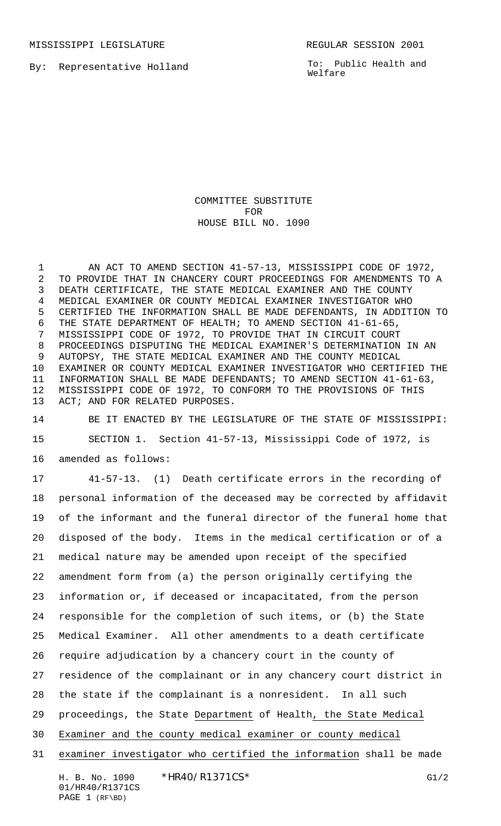MISSISSIPPI LEGISLATURE **REGULAR SESSION 2001** 

By: Representative Holland

To: Public Health and Welfare

COMMITTEE SUBSTITUTE FOR HOUSE BILL NO. 1090

 AN ACT TO AMEND SECTION 41-57-13, MISSISSIPPI CODE OF 1972, TO PROVIDE THAT IN CHANCERY COURT PROCEEDINGS FOR AMENDMENTS TO A DEATH CERTIFICATE, THE STATE MEDICAL EXAMINER AND THE COUNTY MEDICAL EXAMINER OR COUNTY MEDICAL EXAMINER INVESTIGATOR WHO CERTIFIED THE INFORMATION SHALL BE MADE DEFENDANTS, IN ADDITION TO THE STATE DEPARTMENT OF HEALTH; TO AMEND SECTION 41-61-65, MISSISSIPPI CODE OF 1972, TO PROVIDE THAT IN CIRCUIT COURT PROCEEDINGS DISPUTING THE MEDICAL EXAMINER'S DETERMINATION IN AN AUTOPSY, THE STATE MEDICAL EXAMINER AND THE COUNTY MEDICAL EXAMINER OR COUNTY MEDICAL EXAMINER INVESTIGATOR WHO CERTIFIED THE INFORMATION SHALL BE MADE DEFENDANTS; TO AMEND SECTION 41-61-63, MISSISSIPPI CODE OF 1972, TO CONFORM TO THE PROVISIONS OF THIS ACT; AND FOR RELATED PURPOSES.

 BE IT ENACTED BY THE LEGISLATURE OF THE STATE OF MISSISSIPPI: SECTION 1. Section 41-57-13, Mississippi Code of 1972, is amended as follows:

 41-57-13. (1) Death certificate errors in the recording of personal information of the deceased may be corrected by affidavit of the informant and the funeral director of the funeral home that disposed of the body. Items in the medical certification or of a medical nature may be amended upon receipt of the specified amendment form from (a) the person originally certifying the information or, if deceased or incapacitated, from the person responsible for the completion of such items, or (b) the State Medical Examiner. All other amendments to a death certificate require adjudication by a chancery court in the county of residence of the complainant or in any chancery court district in the state if the complainant is a nonresident. In all such proceedings, the State Department of Health, the State Medical Examiner and the county medical examiner or county medical examiner investigator who certified the information shall be made

H. B. No. 1090 \* HR40/R1371CS\* G1/2 01/HR40/R1371CS PAGE 1 (RF\BD)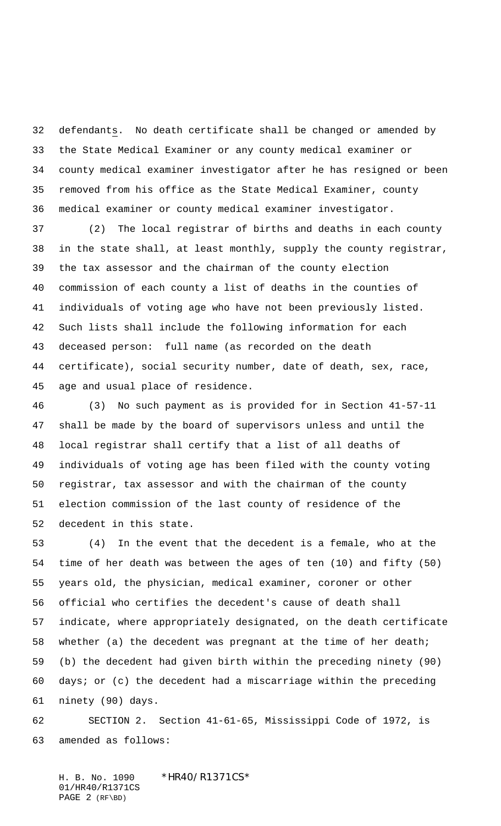defendants. No death certificate shall be changed or amended by the State Medical Examiner or any county medical examiner or county medical examiner investigator after he has resigned or been removed from his office as the State Medical Examiner, county medical examiner or county medical examiner investigator.

 (2) The local registrar of births and deaths in each county in the state shall, at least monthly, supply the county registrar, the tax assessor and the chairman of the county election commission of each county a list of deaths in the counties of individuals of voting age who have not been previously listed. Such lists shall include the following information for each deceased person: full name (as recorded on the death certificate), social security number, date of death, sex, race, age and usual place of residence.

 (3) No such payment as is provided for in Section 41-57-11 shall be made by the board of supervisors unless and until the local registrar shall certify that a list of all deaths of individuals of voting age has been filed with the county voting registrar, tax assessor and with the chairman of the county election commission of the last county of residence of the decedent in this state.

 (4) In the event that the decedent is a female, who at the time of her death was between the ages of ten (10) and fifty (50) years old, the physician, medical examiner, coroner or other official who certifies the decedent's cause of death shall indicate, where appropriately designated, on the death certificate whether (a) the decedent was pregnant at the time of her death; (b) the decedent had given birth within the preceding ninety (90) days; or (c) the decedent had a miscarriage within the preceding ninety (90) days.

 SECTION 2. Section 41-61-65, Mississippi Code of 1972, is amended as follows:

H. B. No. 1090 \*HR40/R1371CS\* 01/HR40/R1371CS PAGE 2 (RF\BD)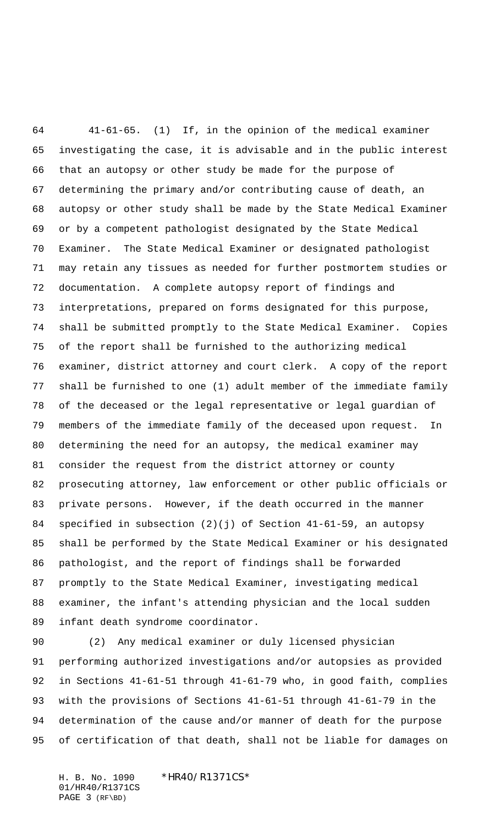41-61-65. (1) If, in the opinion of the medical examiner investigating the case, it is advisable and in the public interest that an autopsy or other study be made for the purpose of determining the primary and/or contributing cause of death, an autopsy or other study shall be made by the State Medical Examiner or by a competent pathologist designated by the State Medical Examiner. The State Medical Examiner or designated pathologist may retain any tissues as needed for further postmortem studies or documentation. A complete autopsy report of findings and interpretations, prepared on forms designated for this purpose, shall be submitted promptly to the State Medical Examiner. Copies of the report shall be furnished to the authorizing medical examiner, district attorney and court clerk. A copy of the report shall be furnished to one (1) adult member of the immediate family of the deceased or the legal representative or legal guardian of members of the immediate family of the deceased upon request. In determining the need for an autopsy, the medical examiner may consider the request from the district attorney or county prosecuting attorney, law enforcement or other public officials or private persons. However, if the death occurred in the manner specified in subsection (2)(j) of Section 41-61-59, an autopsy shall be performed by the State Medical Examiner or his designated pathologist, and the report of findings shall be forwarded promptly to the State Medical Examiner, investigating medical examiner, the infant's attending physician and the local sudden infant death syndrome coordinator.

 (2) Any medical examiner or duly licensed physician performing authorized investigations and/or autopsies as provided in Sections 41-61-51 through 41-61-79 who, in good faith, complies with the provisions of Sections 41-61-51 through 41-61-79 in the determination of the cause and/or manner of death for the purpose of certification of that death, shall not be liable for damages on

H. B. No. 1090 \*HR40/R1371CS\* 01/HR40/R1371CS PAGE 3 (RF\BD)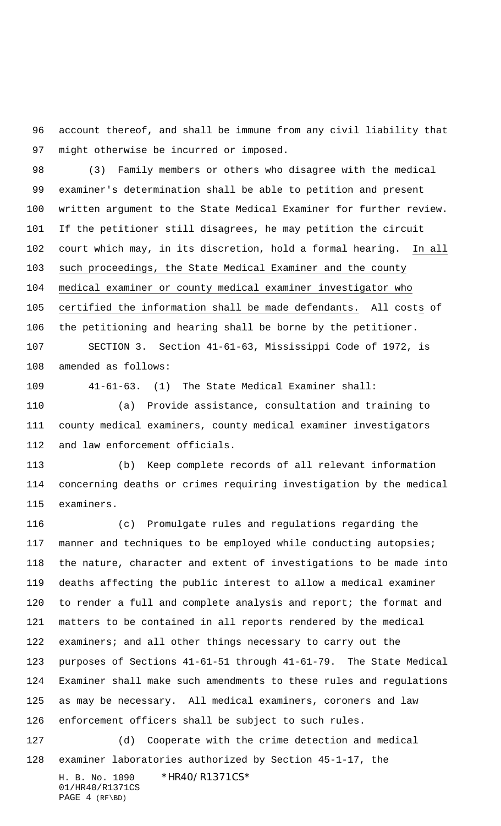account thereof, and shall be immune from any civil liability that might otherwise be incurred or imposed.

 (3) Family members or others who disagree with the medical examiner's determination shall be able to petition and present written argument to the State Medical Examiner for further review. If the petitioner still disagrees, he may petition the circuit court which may, in its discretion, hold a formal hearing. In all such proceedings, the State Medical Examiner and the county medical examiner or county medical examiner investigator who 105 certified the information shall be made defendants. All costs of the petitioning and hearing shall be borne by the petitioner.

 SECTION 3. Section 41-61-63, Mississippi Code of 1972, is amended as follows:

41-61-63. (1) The State Medical Examiner shall:

 (a) Provide assistance, consultation and training to county medical examiners, county medical examiner investigators and law enforcement officials.

 (b) Keep complete records of all relevant information concerning deaths or crimes requiring investigation by the medical examiners.

 (c) Promulgate rules and regulations regarding the manner and techniques to be employed while conducting autopsies; the nature, character and extent of investigations to be made into deaths affecting the public interest to allow a medical examiner to render a full and complete analysis and report; the format and matters to be contained in all reports rendered by the medical 122 examiners; and all other things necessary to carry out the purposes of Sections 41-61-51 through 41-61-79. The State Medical Examiner shall make such amendments to these rules and regulations as may be necessary. All medical examiners, coroners and law enforcement officers shall be subject to such rules. (d) Cooperate with the crime detection and medical examiner laboratories authorized by Section 45-1-17, the

H. B. No. 1090 \*HR40/R1371CS\* 01/HR40/R1371CS PAGE 4 (RF\BD)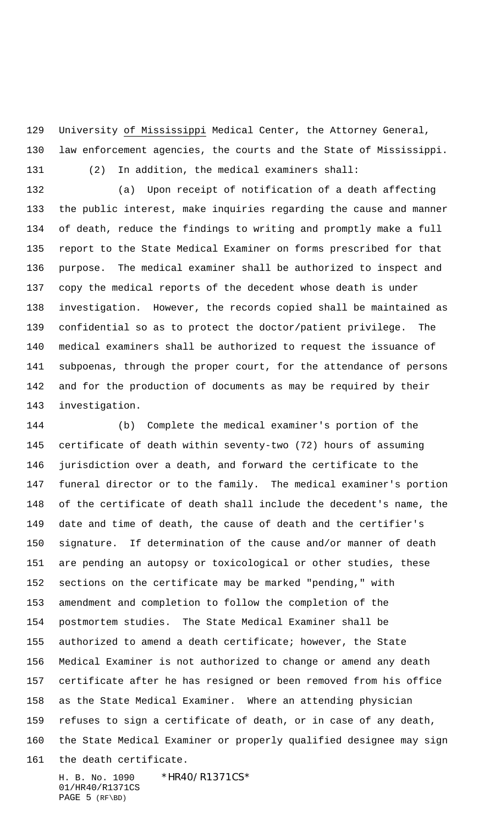129 University of Mississippi Medical Center, the Attorney General, law enforcement agencies, the courts and the State of Mississippi.

(2) In addition, the medical examiners shall:

 (a) Upon receipt of notification of a death affecting the public interest, make inquiries regarding the cause and manner of death, reduce the findings to writing and promptly make a full report to the State Medical Examiner on forms prescribed for that purpose. The medical examiner shall be authorized to inspect and copy the medical reports of the decedent whose death is under investigation. However, the records copied shall be maintained as confidential so as to protect the doctor/patient privilege. The medical examiners shall be authorized to request the issuance of subpoenas, through the proper court, for the attendance of persons and for the production of documents as may be required by their investigation.

 (b) Complete the medical examiner's portion of the certificate of death within seventy-two (72) hours of assuming jurisdiction over a death, and forward the certificate to the funeral director or to the family. The medical examiner's portion of the certificate of death shall include the decedent's name, the date and time of death, the cause of death and the certifier's signature. If determination of the cause and/or manner of death are pending an autopsy or toxicological or other studies, these sections on the certificate may be marked "pending," with amendment and completion to follow the completion of the postmortem studies. The State Medical Examiner shall be authorized to amend a death certificate; however, the State Medical Examiner is not authorized to change or amend any death certificate after he has resigned or been removed from his office as the State Medical Examiner. Where an attending physician refuses to sign a certificate of death, or in case of any death, the State Medical Examiner or properly qualified designee may sign the death certificate.

H. B. No. 1090 \*HR40/R1371CS\* 01/HR40/R1371CS PAGE 5 (RF\BD)